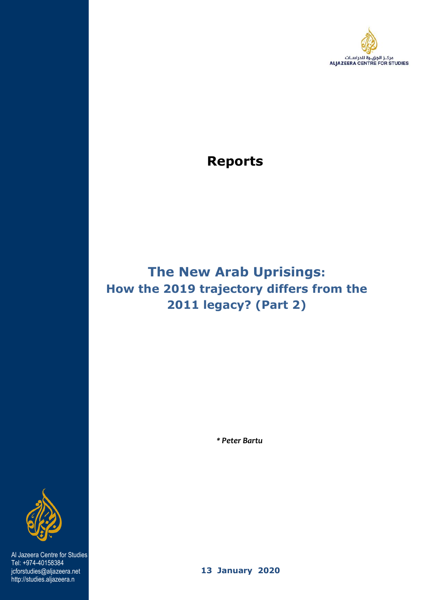

## **Reports**

# **The New Arab Uprisings: How the 2019 trajectory differs from the 2011 legacy? (Part 2)**

 *\* Peter Bartu* 



 Al Jazeera Centre for Studies Tel: +974-40158384 jcforstudies@aljazeera.net http://studies.aljazeera.n

 **13 January 2020**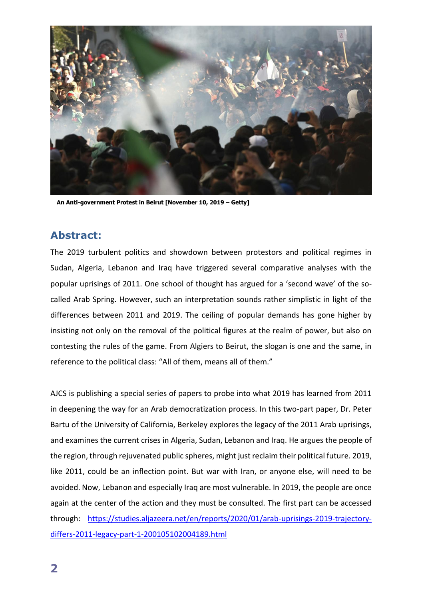

**An Anti-government Protest in Beirut [November 10, 2019 – Getty]**

## **Abstract:**

The 2019 turbulent politics and showdown between protestors and political regimes in Sudan, Algeria, Lebanon and Iraq have triggered several comparative analyses with the popular uprisings of 2011. One school of thought has argued for a 'second wave' of the socalled Arab Spring. However, such an interpretation sounds rather simplistic in light of the differences between 2011 and 2019. The ceiling of popular demands has gone higher by insisting not only on the removal of the political figures at the realm of power, but also on contesting the rules of the game. From Algiers to Beirut, the slogan is one and the same, in reference to the political class: "All of them, means all of them."

AJCS is publishing a special series of papers to probe into what 2019 has learned from 2011 in deepening the way for an Arab democratization process. In this two-part paper, Dr. Peter Bartu of the University of California, Berkeley explores the legacy of the 2011 Arab uprisings, and examines the current crises in Algeria, Sudan, Lebanon and Iraq. He argues the people of the region, through rejuvenated public spheres, might just reclaim their political future. 2019, like 2011, could be an inflection point. But war with Iran, or anyone else, will need to be avoided. Now, Lebanon and especially Iraq are most vulnerable. In 2019, the people are once again at the center of the action and they must be consulted. The first part can be accessed through: [https://studies.aljazeera.net/en/reports/2020/01/arab-uprisings-2019-trajectory](https://studies.aljazeera.net/en/reports/2020/01/arab-uprisings-2019-trajectory-differs-2011-legacy-part-1-200105102004189.html)[differs-2011-legacy-part-1-200105102004189.html](https://studies.aljazeera.net/en/reports/2020/01/arab-uprisings-2019-trajectory-differs-2011-legacy-part-1-200105102004189.html)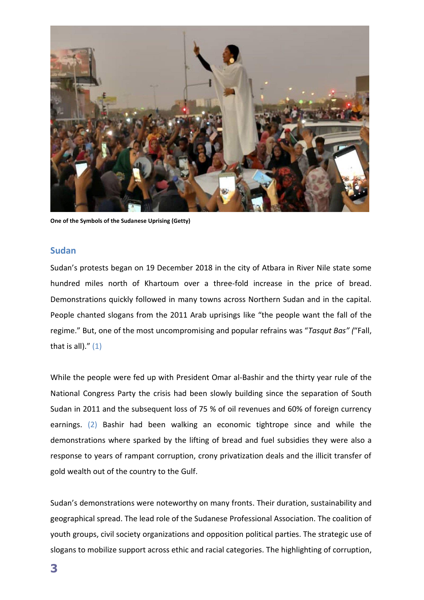

**One of the Symbols of the Sudanese Uprising (Getty)**

#### **Sudan**

Sudan's protests began on 19 December 2018 in the city of Atbara in River Nile state some hundred miles north of Khartoum over a three-fold increase in the price of bread. Demonstrations quickly followed in many towns across Northern Sudan and in the capital. People chanted slogans from the 2011 Arab uprisings like "the people want the fall of the regime." But, one of the most uncompromising and popular refrains was "*Tasqut Bas" (*"Fall, that is all)." $(1)$ 

While the people were fed up with President Omar al-Bashir and the thirty year rule of the National Congress Party the crisis had been slowly building since the separation of South Sudan in 2011 and the subsequent loss of 75 % of oil revenues and 60% of foreign currency earnings. (2) Bashir had been walking an economic tightrope since and while the demonstrations where sparked by the lifting of bread and fuel subsidies they were also a response to years of rampant corruption, crony privatization deals and the illicit transfer of gold wealth out of the country to the Gulf.

Sudan's demonstrations were noteworthy on many fronts. Their duration, sustainability and geographical spread. The lead role of the Sudanese Professional Association. The coalition of youth groups, civil society organizations and opposition political parties. The strategic use of slogans to mobilize support across ethic and racial categories. The highlighting of corruption,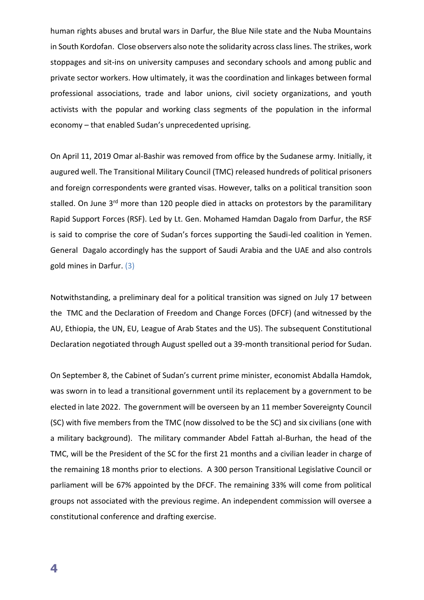human rights abuses and brutal wars in Darfur, the Blue Nile state and the Nuba Mountains in South Kordofan. Close observers also note the solidarity across class lines. The strikes, work stoppages and sit-ins on university campuses and secondary schools and among public and private sector workers. How ultimately, it was the coordination and linkages between formal professional associations, trade and labor unions, civil society organizations, and youth activists with the popular and working class segments of the population in the informal economy – that enabled Sudan's unprecedented uprising.

On April 11, 2019 Omar al-Bashir was removed from office by the Sudanese army. Initially, it augured well. The Transitional Military Council (TMC) released hundreds of political prisoners and foreign correspondents were granted visas. However, talks on a political transition soon stalled. On June 3<sup>rd</sup> more than 120 people died in attacks on protestors by the paramilitary Rapid Support Forces (RSF). Led by Lt. Gen. Mohamed Hamdan Dagalo from Darfur, the RSF is said to comprise the core of Sudan's forces supporting the Saudi-led coalition in Yemen. General Dagalo accordingly has the support of Saudi Arabia and the UAE and also controls gold mines in Darfur. (3)

Notwithstanding, a preliminary deal for a political transition was signed on July 17 between the TMC and the Declaration of Freedom and Change Forces (DFCF) (and witnessed by the AU, Ethiopia, the UN, EU, League of Arab States and the US). The subsequent Constitutional Declaration negotiated through August spelled out a 39-month transitional period for Sudan.

On September 8, the Cabinet of Sudan's current prime minister, economist Abdalla Hamdok, was sworn in to lead a transitional government until its replacement by a government to be elected in late 2022. The government will be overseen by an 11 member Sovereignty Council (SC) with five members from the TMC (now dissolved to be the SC) and six civilians (one with a military background). The military commander Abdel Fattah al-Burhan, the head of the TMC, will be the President of the SC for the first 21 months and a civilian leader in charge of the remaining 18 months prior to elections. A 300 person Transitional Legislative Council or parliament will be 67% appointed by the DFCF. The remaining 33% will come from political groups not associated with the previous regime. An independent commission will oversee a constitutional conference and drafting exercise.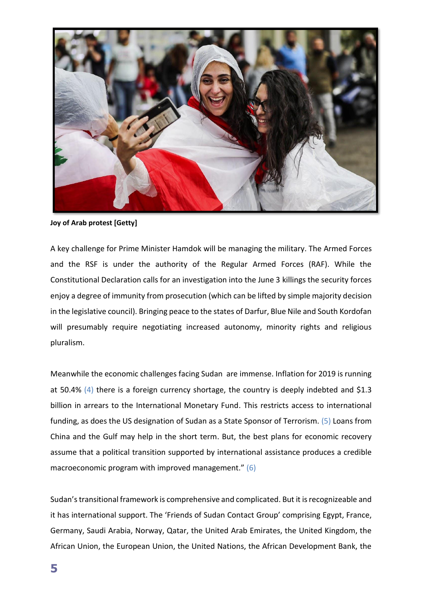

**Joy of Arab protest [Getty]**

A key challenge for Prime Minister Hamdok will be managing the military. The Armed Forces and the RSF is under the authority of the Regular Armed Forces (RAF). While the Constitutional Declaration calls for an investigation into the June 3 killings the security forces enjoy a degree of immunity from prosecution (which can be lifted by simple majority decision in the legislative council). Bringing peace to the states of Darfur, Blue Nile and South Kordofan will presumably require negotiating increased autonomy, minority rights and religious pluralism.

Meanwhile the economic challenges facing Sudan are immense. Inflation for 2019 is running at 50.4% (4) there is a foreign currency shortage, the country is deeply indebted and \$1.3 billion in arrears to the International Monetary Fund. This restricts access to international funding, as does the US designation of Sudan as a State Sponsor of Terrorism. (5) Loans from China and the Gulf may help in the short term. But, the best plans for economic recovery assume that a political transition supported by international assistance produces a credible macroeconomic program with improved management." (6)

Sudan's transitional framework is comprehensive and complicated. But it is recognizeable and it has international support. The 'Friends of Sudan Contact Group' comprising Egypt, France, Germany, Saudi Arabia, Norway, Qatar, the United Arab Emirates, the United Kingdom, the African Union, the European Union, the United Nations, the African Development Bank, the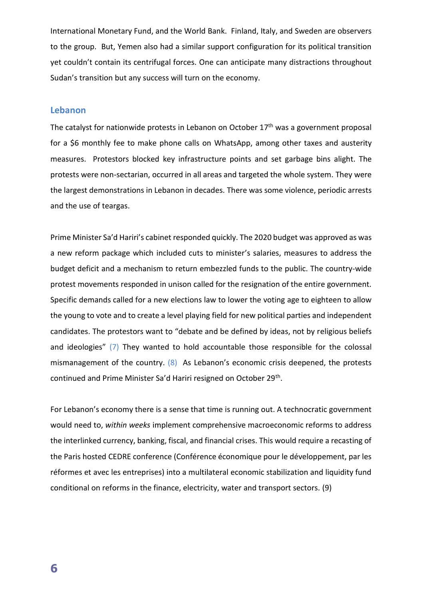International Monetary Fund, and the World Bank. Finland, Italy, and Sweden are observers to the group. But, Yemen also had a similar support configuration for its political transition yet couldn't contain its centrifugal forces. One can anticipate many distractions throughout Sudan's transition but any success will turn on the economy.

#### **Lebanon**

The catalyst for nationwide protests in Lebanon on October 17<sup>th</sup> was a government proposal for a \$6 monthly fee to make phone calls on WhatsApp, among other taxes and austerity measures. Protestors blocked key infrastructure points and set garbage bins alight. The protests were non-sectarian, occurred in all areas and targeted the whole system. They were the largest demonstrations in Lebanon in decades. There was some violence, periodic arrests and the use of teargas.

Prime Minister Sa'd Hariri's cabinet responded quickly. The 2020 budget was approved as was a new reform package which included cuts to minister's salaries, measures to address the budget deficit and a mechanism to return embezzled funds to the public. The country-wide protest movements responded in unison called for the resignation of the entire government. Specific demands called for a new elections law to lower the voting age to eighteen to allow the young to vote and to create a level playing field for new political parties and independent candidates. The protestors want to "debate and be defined by ideas, not by religious beliefs and ideologies"  $(7)$  They wanted to hold accountable those responsible for the colossal mismanagement of the country. (8) As Lebanon's economic crisis deepened, the protests continued and Prime Minister Sa'd Hariri resigned on October 29<sup>th</sup>.

For Lebanon's economy there is a sense that time is running out. A technocratic government would need to, *within weeks* implement comprehensive macroeconomic reforms to address the interlinked currency, banking, fiscal, and financial crises. This would require a recasting of the Paris hosted CEDRE conference (Conférence économique pour le développement, par les réformes et avec les entreprises) into a multilateral economic stabilization and liquidity fund conditional on reforms in the finance, electricity, water and transport sectors. (9)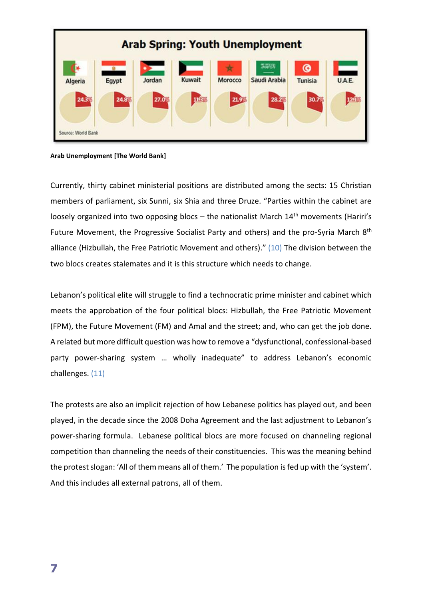

**Arab Unemployment [The World Bank]**

Currently, thirty cabinet ministerial positions are distributed among the sects: 15 Christian members of parliament, six Sunni, six Shia and three Druze. "Parties within the cabinet are loosely organized into two opposing blocs - the nationalist March 14<sup>th</sup> movements (Hariri's Future Movement, the Progressive Socialist Party and others) and the pro-Syria March 8<sup>th</sup> alliance (Hizbullah, the Free Patriotic Movement and others)." (10) The division between the two blocs creates stalemates and it is this structure which needs to change.

Lebanon's political elite will struggle to find a technocratic prime minister and cabinet which meets the approbation of the four political blocs: Hizbullah, the Free Patriotic Movement (FPM), the Future Movement (FM) and Amal and the street; and, who can get the job done. A related but more difficult question was how to remove a "dysfunctional, confessional-based party power-sharing system … wholly inadequate" to address Lebanon's economic challenges. (11)

The protests are also an implicit rejection of how Lebanese politics has played out, and been played, in the decade since the 2008 Doha Agreement and the last adjustment to Lebanon's power-sharing formula. Lebanese political blocs are more focused on channeling regional competition than channeling the needs of their constituencies. This was the meaning behind the protest slogan: 'All of them means all of them.' The population is fed up with the 'system'. And this includes all external patrons, all of them.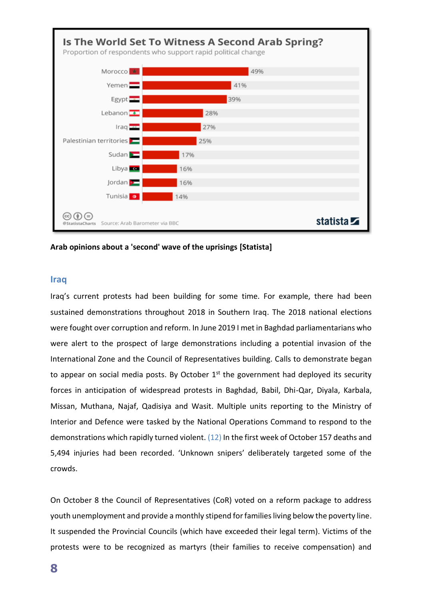

**Arab opinions about a 'second' wave of the uprisings [Statista]**

#### **Iraq**

Iraq's current protests had been building for some time. For example, there had been sustained demonstrations throughout 2018 in Southern Iraq. The 2018 national elections were fought over corruption and reform. In June 2019 I met in Baghdad parliamentarians who were alert to the prospect of large demonstrations including a potential invasion of the International Zone and the Council of Representatives building. Calls to demonstrate began to appear on social media posts. By October  $1<sup>st</sup>$  the government had deployed its security forces in anticipation of widespread protests in Baghdad, Babil, Dhi-Qar, Diyala, Karbala, Missan, Muthana, Najaf, Qadisiya and Wasit. Multiple units reporting to the Ministry of Interior and Defence were tasked by the National Operations Command to respond to the demonstrations which rapidly turned violent. (12) In the first week of October 157 deaths and 5,494 injuries had been recorded. 'Unknown snipers' deliberately targeted some of the crowds.

On October 8 the Council of Representatives (CoR) voted on a reform package to address youth unemployment and provide a monthly stipend for families living below the poverty line. It suspended the Provincial Councils (which have exceeded their legal term). Victims of the protests were to be recognized as martyrs (their families to receive compensation) and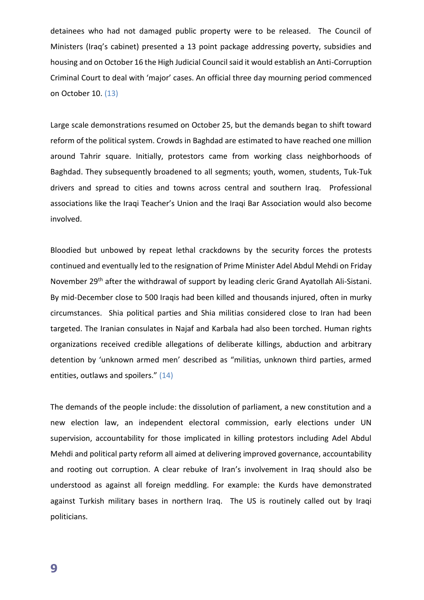detainees who had not damaged public property were to be released. The Council of Ministers (Iraq's cabinet) presented a 13 point package addressing poverty, subsidies and housing and on October 16 the High Judicial Council said it would establish an Anti-Corruption Criminal Court to deal with 'major' cases. An official three day mourning period commenced on October 10. (13)

Large scale demonstrations resumed on October 25, but the demands began to shift toward reform of the political system. Crowds in Baghdad are estimated to have reached one million around Tahrir square. Initially, protestors came from working class neighborhoods of Baghdad. They subsequently broadened to all segments; youth, women, students, Tuk-Tuk drivers and spread to cities and towns across central and southern Iraq. Professional associations like the Iraqi Teacher's Union and the Iraqi Bar Association would also become involved.

Bloodied but unbowed by repeat lethal crackdowns by the security forces the protests continued and eventually led to the resignation of Prime Minister Adel Abdul Mehdi on Friday November 29<sup>th</sup> after the withdrawal of support by leading cleric Grand Ayatollah Ali-Sistani. By mid-December close to 500 Iraqis had been killed and thousands injured, often in murky circumstances. Shia political parties and Shia militias considered close to Iran had been targeted. The Iranian consulates in Najaf and Karbala had also been torched. Human rights organizations received credible allegations of deliberate killings, abduction and arbitrary detention by 'unknown armed men' described as "militias, unknown third parties, armed entities, outlaws and spoilers." (14)

The demands of the people include: the dissolution of parliament, a new constitution and a new election law, an independent electoral commission, early elections under UN supervision, accountability for those implicated in killing protestors including Adel Abdul Mehdi and political party reform all aimed at delivering improved governance, accountability and rooting out corruption. A clear rebuke of Iran's involvement in Iraq should also be understood as against all foreign meddling. For example: the Kurds have demonstrated against Turkish military bases in northern Iraq. The US is routinely called out by Iraqi politicians.

**9**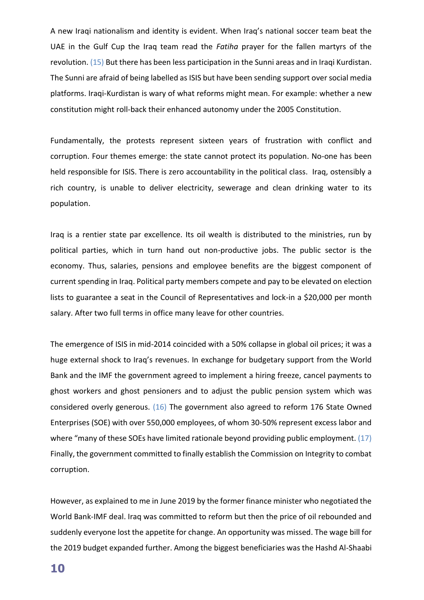A new Iraqi nationalism and identity is evident. When Iraq's national soccer team beat the UAE in the Gulf Cup the Iraq team read the *Fatiha* prayer for the fallen martyrs of the revolution. (15) But there has been less participation in the Sunni areas and in Iraqi Kurdistan. The Sunni are afraid of being labelled as ISIS but have been sending support over social media platforms. Iraqi-Kurdistan is wary of what reforms might mean. For example: whether a new constitution might roll-back their enhanced autonomy under the 2005 Constitution.

Fundamentally, the protests represent sixteen years of frustration with conflict and corruption. Four themes emerge: the state cannot protect its population. No-one has been held responsible for ISIS. There is zero accountability in the political class. Iraq, ostensibly a rich country, is unable to deliver electricity, sewerage and clean drinking water to its population.

Iraq is a rentier state par excellence. Its oil wealth is distributed to the ministries, run by political parties, which in turn hand out non-productive jobs. The public sector is the economy. Thus, salaries, pensions and employee benefits are the biggest component of current spending in Iraq. Political party members compete and pay to be elevated on election lists to guarantee a seat in the Council of Representatives and lock-in a \$20,000 per month salary. After two full terms in office many leave for other countries.

The emergence of ISIS in mid-2014 coincided with a 50% collapse in global oil prices; it was a huge external shock to Iraq's revenues. In exchange for budgetary support from the World Bank and the IMF the government agreed to implement a hiring freeze, cancel payments to ghost workers and ghost pensioners and to adjust the public pension system which was considered overly generous. (16) The government also agreed to reform 176 State Owned Enterprises (SOE) with over 550,000 employees, of whom 30-50% represent excess labor and where "many of these SOEs have limited rationale beyond providing public employment. (17) Finally, the government committed to finally establish the Commission on Integrity to combat corruption.

However, as explained to me in June 2019 by the former finance minister who negotiated the World Bank-IMF deal. Iraq was committed to reform but then the price of oil rebounded and suddenly everyone lost the appetite for change. An opportunity was missed. The wage bill for the 2019 budget expanded further. Among the biggest beneficiaries was the Hashd Al-Shaabi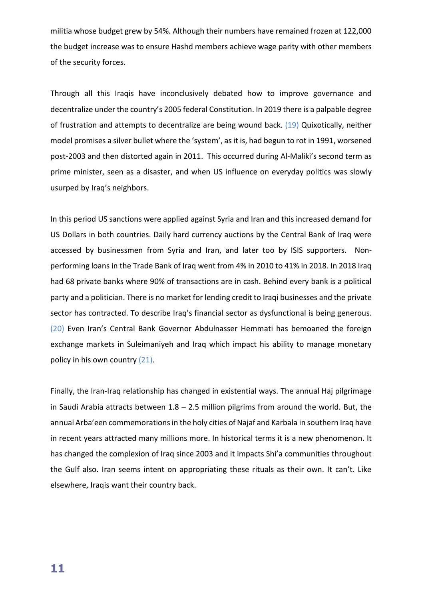militia whose budget grew by 54%. Although their numbers have remained frozen at 122,000 the budget increase was to ensure Hashd members achieve wage parity with other members of the security forces.

Through all this Iraqis have inconclusively debated how to improve governance and decentralize under the country's 2005 federal Constitution. In 2019 there is a palpable degree of frustration and attempts to decentralize are being wound back. (19) Quixotically, neither model promises a silver bullet where the 'system', as it is, had begun to rot in 1991, worsened post-2003 and then distorted again in 2011. This occurred during Al-Maliki's second term as prime minister, seen as a disaster, and when US influence on everyday politics was slowly usurped by Iraq's neighbors.

In this period US sanctions were applied against Syria and Iran and this increased demand for US Dollars in both countries. Daily hard currency auctions by the Central Bank of Iraq were accessed by businessmen from Syria and Iran, and later too by ISIS supporters. Nonperforming loans in the Trade Bank of Iraq went from 4% in 2010 to 41% in 2018. In 2018 Iraq had 68 private banks where 90% of transactions are in cash. Behind every bank is a political party and a politician. There is no market for lending credit to Iraqi businesses and the private sector has contracted. To describe Iraq's financial sector as dysfunctional is being generous. (20) Even Iran's Central Bank Governor Abdulnasser Hemmati has bemoaned the foreign exchange markets in Suleimaniyeh and Iraq which impact his ability to manage monetary policy in his own country (21).

Finally, the Iran-Iraq relationship has changed in existential ways. The annual Haj pilgrimage in Saudi Arabia attracts between  $1.8 - 2.5$  million pilgrims from around the world. But, the annual Arba'een commemorations in the holy cities of Najaf and Karbala in southern Iraq have in recent years attracted many millions more. In historical terms it is a new phenomenon. It has changed the complexion of Iraq since 2003 and it impacts Shi'a communities throughout the Gulf also. Iran seems intent on appropriating these rituals as their own. It can't. Like elsewhere, Iraqis want their country back.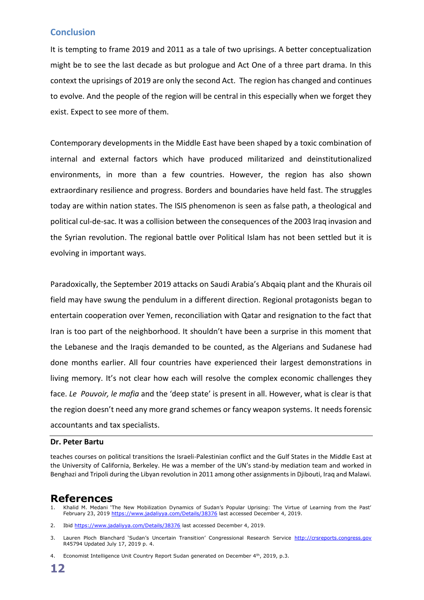### **Conclusion**

It is tempting to frame 2019 and 2011 as a tale of two uprisings. A better conceptualization might be to see the last decade as but prologue and Act One of a three part drama. In this context the uprisings of 2019 are only the second Act. The region has changed and continues to evolve. And the people of the region will be central in this especially when we forget they exist. Expect to see more of them.

Contemporary developments in the Middle East have been shaped by a toxic combination of internal and external factors which have produced militarized and deinstitutionalized environments, in more than a few countries. However, the region has also shown extraordinary resilience and progress. Borders and boundaries have held fast. The struggles today are within nation states. The ISIS phenomenon is seen as false path, a theological and political cul-de-sac. It was a collision between the consequences of the 2003 Iraq invasion and the Syrian revolution. The regional battle over Political Islam has not been settled but it is evolving in important ways.

Paradoxically, the September 2019 attacks on Saudi Arabia's Abqaiq plant and the Khurais oil field may have swung the pendulum in a different direction. Regional protagonists began to entertain cooperation over Yemen, reconciliation with Qatar and resignation to the fact that Iran is too part of the neighborhood. It shouldn't have been a surprise in this moment that the Lebanese and the Iraqis demanded to be counted, as the Algerians and Sudanese had done months earlier. All four countries have experienced their largest demonstrations in living memory. It's not clear how each will resolve the complex economic challenges they face. *Le Pouvoir, le mafia* and the 'deep state' is present in all. However, what is clear is that the region doesn't need any more grand schemes or fancy weapon systems. It needs forensic accountants and tax specialists.

#### **Dr. Peter Bartu**

teaches courses on political transitions the Israeli-Palestinian conflict and the Gulf States in the Middle East at the University of California, Berkeley. He was a member of the UN's stand-by mediation team and worked in Benghazi and Tripoli during the Libyan revolution in 2011 among other assignments in Djibouti, Iraq and Malawi.

### **References**

1. Khalid M. Medani 'The New Mobilization Dynamics of Sudan's Popular Uprising: The Virtue of Learning from the Past' February 23, 2019<https://www.jadaliyya.com/Details/38376> last accessed December 4, 2019.

2. Ibid<https://www.jadaliyya.com/Details/38376> last accessed December 4, 2019.

3. Lauren Ploch Blanchard 'Sudan's Uncertain Transition' Congressional Research Service [http://crsreports.congress.gov](http://crsreports.congress.gov/) R45794 Updated July 17, 2019 p. 4.

<sup>4.</sup> Economist Intelligence Unit Country Report Sudan generated on December 4<sup>th</sup>, 2019, p.3.